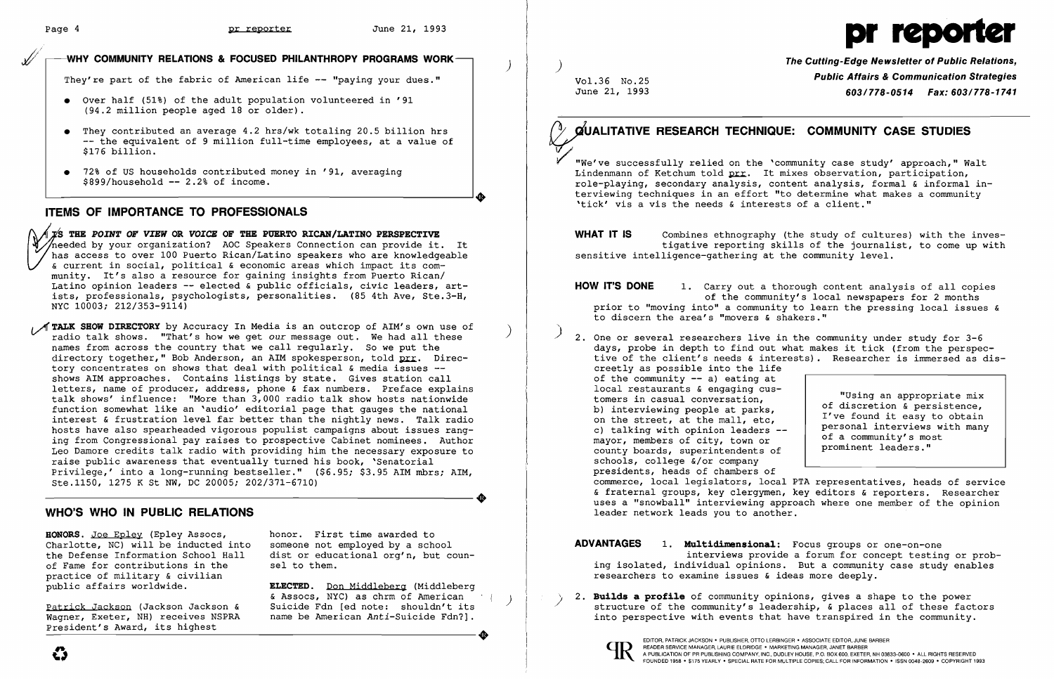*.xl),'* 

> needed by your organization? AOC speakers connection can provide it. It<br>has access to over 100 Puerto Rican/Latino speakers who are knowledgeable<br>& current in social, political & economic areas which impact its com-<br>munity & current in social, political & economic areas which impact its com-<br>munity. It's also a resource for gaining insights from Puerto Rican/ Latino opinion leaders -- elected & public officials, civic leaders, artists, professionals, psychologists, personalities. (85 4th Ave, Ste.3-H, NYC 10003; 212/353-9114)

/ TALK SHOW DIRECTORY by Accuracy In Media is an outcrop of AIM's own use of radio talk shows. "That's how we get *our* message out. We had all these names from across the country that we call regularly. So we put the directory together," Bob Anderson, an AIM spokesperson, told **prr**. Direcdirectory cogoener, now inderson, an init opencoperson, cord  $\frac{1}{2}$ . Bit shows AIM approaches. Contains listings by state. Gives station call letters, name of producer, address, phone & fax numbers. Preface explains talk shows' influence: "More than 3,000 radio talk show hosts nationwide function somewhat like an 'audio' editorial page that gauges the national interest & frustration level far better than the nightly news. Talk radio hosts have also spearheaded vigorous populist campaigns about issues rang ing from Congressional pay raises to prospective Cabinet nominees. Author Leo Damore credits talk radio with providing him the necessary exposure to raise public awareness that eventually turned his book, 'Senatorial Privilege,' into a long-running bestseller." (\$6.95; \$3.95 AIM mbrs; AIM,<br>Ste.1150, 1275 K St NW, DC 20005; 202/371-6710)<br>WHO'S WHO IN DURLIC DELATIONS Ste.1150, 1275 K St NW, DC 20005; 202/371-6710)

- • Over half (51%) of the adult population volunteered in '91 (94.2 million people aged 18 or older).
- • They contributed an average 4.2 hrs/wk totaling 20.5 billion hrs -- the equivalent of 9 million full-time employees, at a value of \$176 billion.
- $\bullet$  72% of US households contributed money in '91, averaging  $$899/household -- 2.2% of income.$

THE *POINT* OF *VIEW* OR *VOICE* OF THE PUERTO RICAN/LATINO PERSPECTIVE **TS THE POINT OF VIEW OR VOICE OF THE PUERTO RICAN/LATINO PERSPECTIVE**<br>needed by your organization? AOC Speakers Connection can provide it. It

HONORS. Joe Epley (Epley Assocs, Charlotte, NC) will be inducted into the Defense Information School Hall of Fame for contributions in the practice of military & civilian public affairs worldwide.

Patrick Jackson (Jackson Jackson & Wagner, Exeter, NH) receives NSPRA President's Award, its highest Patrick Jackson (Jackson Jackson & Suicide Fdn [ed note: shouldn't its<br>Wagner, Exeter, NH) receives NSPRA anne be American Anti-Suicide Fdn?].

ELECTED. Don Middleberg (Middleberg & Assocs, NYC) as chrm of American<br>Suicide Fdn [ed note: shouldn't its name be American *Anti-Suicide* Fdn?].

The Cutting-Edge Newsletter of Public Relations, Vol.36 No.25 **Public Affairs & Communication Strategies**<br>June 21, 1993 **Communication Strategies** June 21, 1993 *603/778-0514 Fax: 603/778-1741* 

### WHY COMMUNITY RELATIONS & FOCUSED PHILANTHROPY PROGRAMS WORK

They're part of the fabric of American life -- "paying your dues."

WHAT IT IS Combines ethnography (the study of cultures) with the inves tigative reporting skills of the journalist, to come up with sensitive intelligence-gathering at the community level.

HOW IT'S DONE 1. Carry out a thorough content analysis of all copies of the community's local newspapers for 2 months prior to "moving into" a community to learn the pressing local issues & to discern the area's "movers & shakers."

'+

# ITEMS OF IMPORTANCE TO PROFESSIONALS

## WHO'S WHO IN PUBLIC RELATIONS

honor. First time awarded to someone not employed by a school dist or educational org'n, but counsel to them.

> ) 2. Builds a profile of community opinions, gives a shape to the power structure of the community's leadership, & places all of these factors into perspective with events that have transpired in the community.

)

)

# QUALITATIVE RESEARCH TECHNIQUE: COMMUNITY CASE STUDIES



~"we've successfully relied on the 'community case study' approach," Walt Lindenmann of Ketchum told prr. It mixes observation, participation, role-playing, secondary analysis, content analysis, formal & informal interviewing techniques in an effort "to determine what makes a community 'tick' vis a vis the needs & interests of a client."

days, probe in depth to find out what makes it tick (from the perspective of the client's needs & interests). Researcher is immersed as dis-

- ) 2. One or several researchers live in the community under study for 3-6 creetly as possible into the life of the community -- a) eating at local restaurants & engaging customers in casual conversation, b) interviewing people at parks, on the street, at the mall, etc, c) talking with opinion leaders mayor, members of city, town or county boards, superintendents of schools, college &/or company presidents, heads of chambers of leader network leads you to another.
- 

"Using an appropriate mix of discretion & persistence, I've found it easy to obtain personal interviews with many of a community's most prominent leaders."

commerce, local legislators, local PTA representatives, heads of service & fraternal groups, key clergymen, key editors & reporters. Researcher uses a "snowball" interviewing approach where one member of the opinion

ADVANTAGES 1. Multidimensional: Focus groups or one-on-one interviews provide a forum for concept testing or probing isolated, individual opinions. But a community case study enables researchers to examine issues & ideas more deeply.